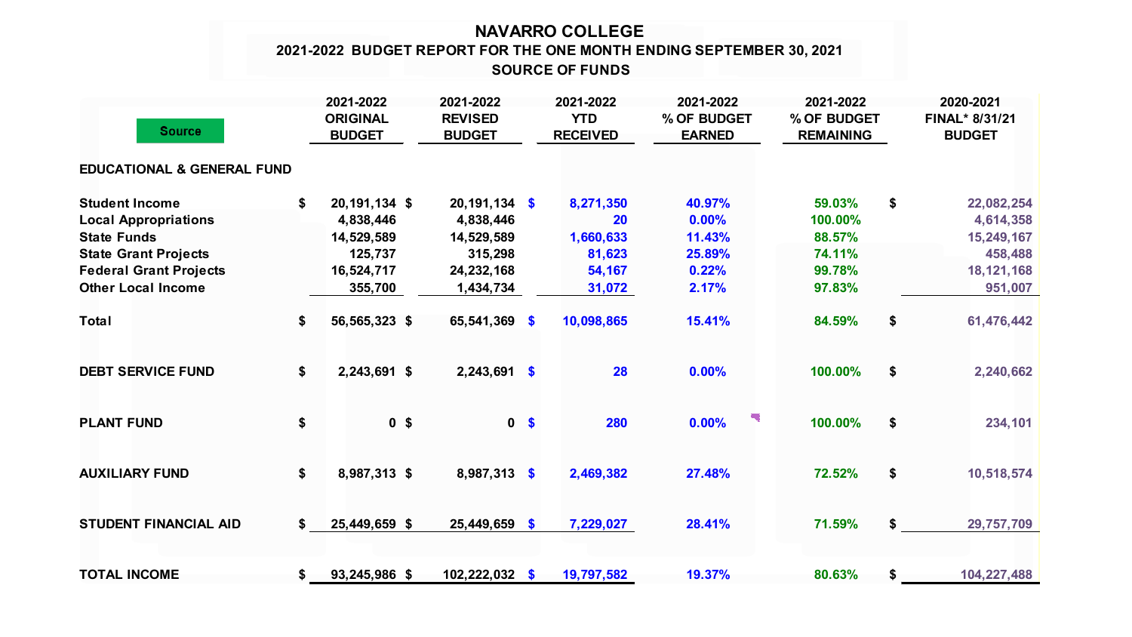## **NAVARRO COLLEGE SOURCE OF FUNDS 2021-2022 BUDGET REPORT FOR THE ONE MONTH ENDING SEPTEMBER 30, 2021**

| <b>Source</b>                                                                                                                                                           |    | 2021-2022<br><b>ORIGINAL</b><br><b>BUDGET</b>                                  | 2021-2022<br><b>REVISED</b><br><b>BUDGET</b>                                     |                           | 2021-2022<br><b>YTD</b><br><b>RECEIVED</b>                 | 2021-2022<br>% OF BUDGET<br><b>EARNED</b>             |  | 2021-2022<br>% OF BUDGET<br><b>REMAINING</b>              |    | 2020-2021<br>FINAL* 8/31/21<br><b>BUDGET</b>                                |  |
|-------------------------------------------------------------------------------------------------------------------------------------------------------------------------|----|--------------------------------------------------------------------------------|----------------------------------------------------------------------------------|---------------------------|------------------------------------------------------------|-------------------------------------------------------|--|-----------------------------------------------------------|----|-----------------------------------------------------------------------------|--|
| <b>EDUCATIONAL &amp; GENERAL FUND</b>                                                                                                                                   |    |                                                                                |                                                                                  |                           |                                                            |                                                       |  |                                                           |    |                                                                             |  |
| <b>Student Income</b><br><b>Local Appropriations</b><br><b>State Funds</b><br><b>State Grant Projects</b><br><b>Federal Grant Projects</b><br><b>Other Local Income</b> | \$ | 20, 191, 134 \$<br>4,838,446<br>14,529,589<br>125,737<br>16,524,717<br>355,700 | $20,191,134$ \$<br>4,838,446<br>14,529,589<br>315,298<br>24,232,168<br>1,434,734 |                           | 8,271,350<br>20<br>1,660,633<br>81,623<br>54,167<br>31,072 | 40.97%<br>0.00%<br>11.43%<br>25.89%<br>0.22%<br>2.17% |  | 59.03%<br>100.00%<br>88.57%<br>74.11%<br>99.78%<br>97.83% | \$ | 22,082,254<br>4,614,358<br>15,249,167<br>458,488<br>18, 121, 168<br>951,007 |  |
| <b>Total</b>                                                                                                                                                            | \$ | 56,565,323 \$                                                                  | 65,541,369                                                                       | $\boldsymbol{\mathsf{s}}$ | 10,098,865                                                 | 15.41%                                                |  | 84.59%                                                    | \$ | 61,476,442                                                                  |  |
| <b>DEBT SERVICE FUND</b>                                                                                                                                                | \$ | 2,243,691 \$                                                                   | $2,243,691$ \$                                                                   |                           | 28                                                         | 0.00%                                                 |  | 100.00%                                                   | \$ | 2,240,662                                                                   |  |
| <b>PLANT FUND</b>                                                                                                                                                       | \$ | 0 <sup>5</sup>                                                                 |                                                                                  | 0 <sup>5</sup>            | 280                                                        | 0.00%                                                 |  | 100.00%                                                   | \$ | 234,101                                                                     |  |
| <b>AUXILIARY FUND</b>                                                                                                                                                   | \$ | 8,987,313 \$                                                                   | 8,987,313 \$                                                                     |                           | 2,469,382                                                  | 27.48%                                                |  | 72.52%                                                    | \$ | 10,518,574                                                                  |  |
| <b>STUDENT FINANCIAL AID</b>                                                                                                                                            | \$ | 25,449,659 \$                                                                  | $25,449,659$ \$                                                                  |                           | 7,229,027                                                  | 28.41%                                                |  | 71.59%                                                    | \$ | 29,757,709                                                                  |  |
| <b>TOTAL INCOME</b>                                                                                                                                                     | \$ | 93,245,986 \$                                                                  | $102,222,032$ \$                                                                 |                           | 19,797,582                                                 | 19.37%                                                |  | 80.63%                                                    | \$ | 104,227,488                                                                 |  |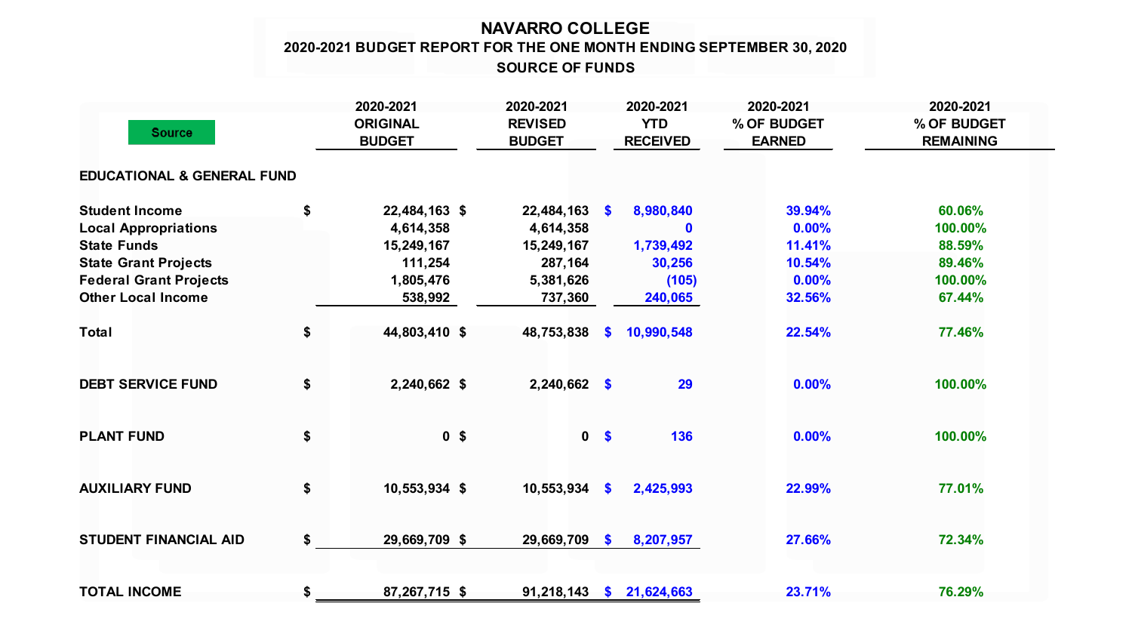## **NAVARRO COLLEGE 2020-2021 BUDGET REPORT FOR THE ONE MONTH ENDING SEPTEMBER 30, 2020 SOURCE OF FUNDS**

| <b>Source</b>                         |    | 2020-2021<br><b>ORIGINAL</b><br><b>BUDGET</b> | 2020-2021<br><b>REVISED</b><br><b>BUDGET</b> | 2020-2021<br><b>YTD</b><br><b>RECEIVED</b> |            | 2020-2021<br>% OF BUDGET<br><b>EARNED</b> | 2020-2021<br>% OF BUDGET<br><b>REMAINING</b> |  |
|---------------------------------------|----|-----------------------------------------------|----------------------------------------------|--------------------------------------------|------------|-------------------------------------------|----------------------------------------------|--|
| <b>EDUCATIONAL &amp; GENERAL FUND</b> |    |                                               |                                              |                                            |            |                                           |                                              |  |
| <b>Student Income</b>                 | \$ | 22,484,163 \$                                 | 22,484,163                                   | - \$                                       | 8,980,840  | 39.94%                                    | 60.06%                                       |  |
| <b>Local Appropriations</b>           |    | 4,614,358                                     | 4,614,358                                    |                                            | $\bf{0}$   | 0.00%                                     | 100.00%                                      |  |
| <b>State Funds</b>                    |    | 15,249,167                                    | 15,249,167                                   |                                            | 1,739,492  | 11.41%                                    | 88.59%                                       |  |
| <b>State Grant Projects</b>           |    | 111,254                                       | 287,164                                      |                                            | 30,256     | 10.54%                                    | 89.46%                                       |  |
| <b>Federal Grant Projects</b>         |    | 1,805,476                                     | 5,381,626                                    |                                            | (105)      | 0.00%                                     | 100.00%                                      |  |
| <b>Other Local Income</b>             |    | 538,992                                       | 737,360                                      |                                            | 240,065    | 32.56%                                    | 67.44%                                       |  |
| <b>Total</b>                          | \$ | 44,803,410 \$                                 | 48,753,838                                   | S.                                         | 10,990,548 | 22.54%                                    | 77.46%                                       |  |
| <b>DEBT SERVICE FUND</b>              | \$ | 2,240,662 \$                                  | $2,240,662$ \$                               |                                            | 29         | 0.00%                                     | 100.00%                                      |  |
| <b>PLANT FUND</b>                     | \$ | 0 <sup>5</sup>                                | $\mathbf 0$                                  | $\sqrt[6]{\frac{1}{2}}$                    | 136        | 0.00%                                     | 100.00%                                      |  |
| <b>AUXILIARY FUND</b>                 | \$ | 10,553,934 \$                                 | 10,553,934                                   | $\sqrt[6]{3}$                              | 2,425,993  | 22.99%                                    | 77.01%                                       |  |
| <b>STUDENT FINANCIAL AID</b>          | \$ | 29,669,709 \$                                 | 29,669,709                                   | $\mathbf{s}$                               | 8,207,957  | 27.66%                                    | 72.34%                                       |  |
| <b>TOTAL INCOME</b>                   | \$ | 87,267,715 \$                                 | 91,218,143                                   | $\mathbf{s}$                               | 21,624,663 | 23.71%                                    | 76.29%                                       |  |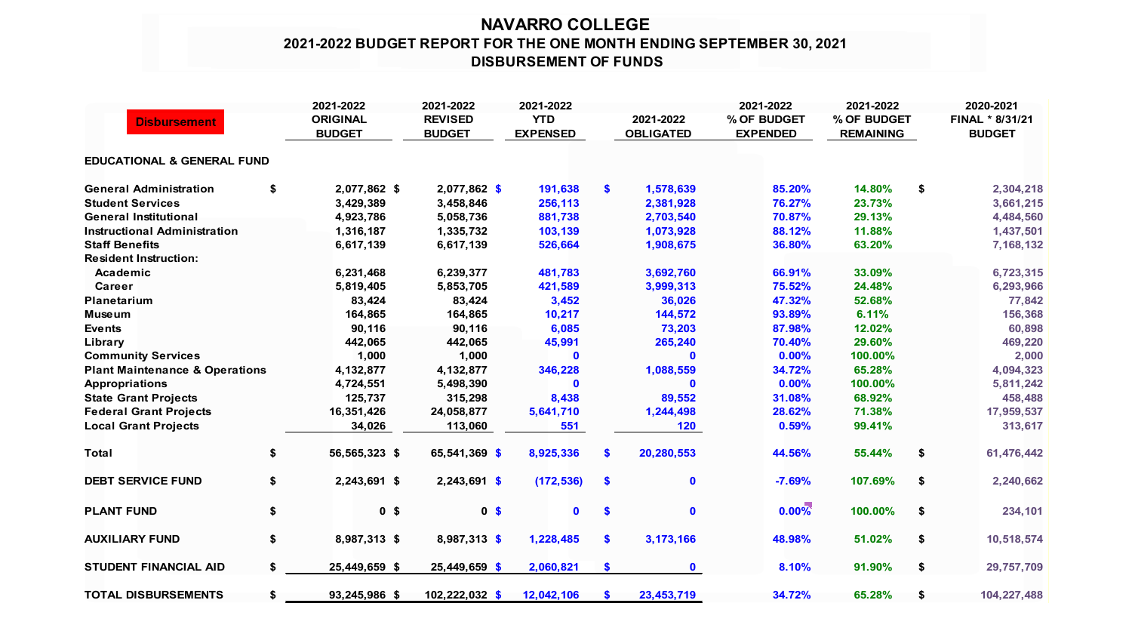## **NAVARRO COLLEGE 2021-2022 BUDGET REPORT FOR THE ONE MONTH ENDING SEPTEMBER 30, 2021 DISBURSEMENT OF FUNDS**

| <b>Disbursement</b>                       |    | 2021-2022<br><b>ORIGINAL</b><br><b>BUDGET</b> | 2021-2022<br><b>REVISED</b><br><b>BUDGET</b> | 2021-2022<br><b>YTD</b><br><b>EXPENSED</b> |               | 2021-2022<br><b>OBLIGATED</b> | 2021-2022<br>% OF BUDGET<br><b>EXPENDED</b> | 2021-2022<br>% OF BUDGET<br><b>REMAINING</b> | 2020-2021<br>FINAL * 8/31/21<br><b>BUDGET</b> |  |
|-------------------------------------------|----|-----------------------------------------------|----------------------------------------------|--------------------------------------------|---------------|-------------------------------|---------------------------------------------|----------------------------------------------|-----------------------------------------------|--|
| <b>EDUCATIONAL &amp; GENERAL FUND</b>     |    |                                               |                                              |                                            |               |                               |                                             |                                              |                                               |  |
| <b>General Administration</b>             | \$ | 2,077,862 \$                                  | 2,077,862 \$                                 | 191,638                                    | \$            | 1,578,639                     | 85.20%                                      | 14.80%                                       | \$<br>2,304,218                               |  |
| <b>Student Services</b>                   |    | 3,429,389                                     | 3,458,846                                    | 256,113                                    |               | 2,381,928                     | 76.27%                                      | 23.73%                                       | 3,661,215                                     |  |
| <b>General Institutional</b>              |    | 4,923,786                                     | 5,058,736                                    | 881,738                                    |               | 2,703,540                     | 70.87%                                      | 29.13%                                       | 4,484,560                                     |  |
| <b>Instructional Administration</b>       |    | 1,316,187                                     | 1,335,732                                    | 103,139                                    |               | 1,073,928                     | 88.12%                                      | 11.88%                                       | 1,437,501                                     |  |
| <b>Staff Benefits</b>                     |    | 6,617,139                                     | 6,617,139                                    | 526,664                                    |               | 1,908,675                     | 36.80%                                      | 63.20%                                       | 7,168,132                                     |  |
| <b>Resident Instruction:</b>              |    |                                               |                                              |                                            |               |                               |                                             |                                              |                                               |  |
| Academic                                  |    | 6,231,468                                     | 6,239,377                                    | 481,783                                    |               | 3,692,760                     | 66.91%                                      | 33.09%                                       | 6,723,315                                     |  |
| <b>Career</b>                             |    | 5,819,405                                     | 5,853,705                                    | 421,589                                    |               | 3,999,313                     | 75.52%                                      | 24.48%                                       | 6,293,966                                     |  |
| <b>Planetarium</b>                        |    | 83,424                                        | 83,424                                       | 3,452                                      |               | 36,026                        | 47.32%                                      | 52.68%                                       | 77,842                                        |  |
| <b>Museum</b>                             |    | 164,865                                       | 164,865                                      | 10,217                                     |               | 144,572                       | 93.89%                                      | 6.11%                                        | 156,368                                       |  |
| <b>Events</b>                             |    | 90,116                                        | 90,116                                       | 6,085                                      |               | 73,203                        | 87.98%                                      | 12.02%                                       | 60,898                                        |  |
| Library                                   |    | 442,065                                       | 442,065                                      | 45,991                                     |               | 265,240                       | 70.40%                                      | 29.60%                                       | 469,220                                       |  |
| <b>Community Services</b>                 |    | 1,000                                         | 1,000                                        | $\mathbf 0$                                |               | $\mathbf{0}$                  | 0.00%                                       | 100.00%                                      | 2,000                                         |  |
| <b>Plant Maintenance &amp; Operations</b> |    | 4,132,877                                     | 4,132,877                                    | 346,228                                    |               | 1,088,559                     | 34.72%                                      | 65.28%                                       | 4,094,323                                     |  |
| <b>Appropriations</b>                     |    | 4,724,551                                     | 5,498,390                                    | $\mathbf{0}$                               |               | ŋ                             | 0.00%                                       | 100.00%                                      | 5,811,242                                     |  |
| <b>State Grant Projects</b>               |    | 125,737                                       | 315,298                                      | 8,438                                      |               | 89,552                        | 31.08%                                      | 68.92%                                       | 458,488                                       |  |
| <b>Federal Grant Projects</b>             |    | 16,351,426                                    | 24,058,877                                   | 5,641,710                                  |               | 1,244,498                     | 28.62%                                      | 71.38%                                       | 17,959,537                                    |  |
| <b>Local Grant Projects</b>               |    | 34,026                                        | 113,060                                      | 551                                        |               | 120                           | 0.59%                                       | 99.41%                                       | 313,617                                       |  |
| <b>Total</b>                              | \$ | 56,565,323 \$                                 | 65,541,369 \$                                | 8,925,336                                  | <b>S</b>      | 20,280,553                    | 44.56%                                      | 55.44%                                       | \$<br>61,476,442                              |  |
| <b>DEBT SERVICE FUND</b>                  | \$ | 2,243,691 \$                                  | $2,243,691$ \$                               | (172, 536)                                 | -\$           | $\mathbf 0$                   | $-7.69%$                                    | 107.69%                                      | \$<br>2,240,662                               |  |
| <b>PLANT FUND</b>                         | \$ | 0 <sup>5</sup>                                | 0 <sup>5</sup>                               | $\mathbf{0}$                               | <b>S</b>      | $\mathbf{0}$                  | $0.00\%$                                    | 100.00%                                      | \$<br>234,101                                 |  |
| <b>AUXILIARY FUND</b>                     | \$ | 8,987,313 \$                                  | 8,987,313 \$                                 | 1,228,485                                  | $\mathbf{\$}$ | 3, 173, 166                   | 48.98%                                      | 51.02%                                       | \$<br>10,518,574                              |  |
| STUDENT FINANCIAL AID                     | S. | 25,449,659 \$                                 | 25,449,659 \$                                | 2,060,821                                  | \$            | $\mathbf 0$                   | 8.10%                                       | 91.90%                                       | \$<br>29,757,709                              |  |
| <b>TOTAL DISBURSEMENTS</b>                | \$ | 93,245,986 \$                                 | 102,222,032 \$                               | 12,042,106                                 | <b>S</b>      | 23,453,719                    | 34.72%                                      | 65.28%                                       | \$<br>104,227,488                             |  |